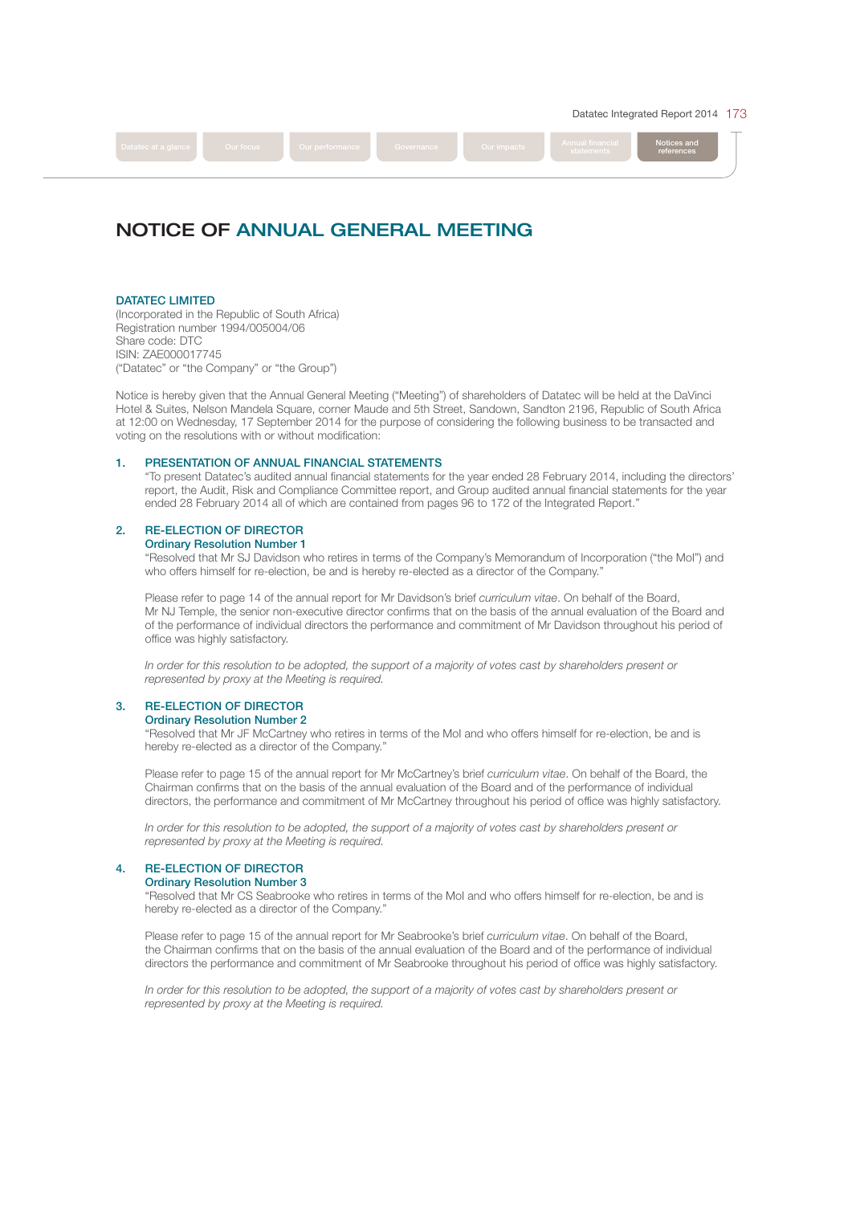Datatec Integrated Report 2014 173

references

# Datatec at a glance **Notice and Society** Curve and Development of the State and Development and Notices and Notices and Notices and Notices and Notices and Notices and Notices and Notices and Notices and Notices and Notice

# NOTICE OF ANNUAL GENERAL MEETING

# DATATEC LIMITED

(Incorporated in the Republic of South Africa) Registration number 1994/005004/06 Share code: DTC ISIN: ZAE000017745 ("Datatec" or "the Company" or "the Group")

Notice is hereby given that the Annual General Meeting ("Meeting") of shareholders of Datatec will be held at the DaVinci Hotel & Suites, Nelson Mandela Square, corner Maude and 5th Street, Sandown, Sandton 2196, Republic of South Africa at 12:00 on Wednesday, 17 September 2014 for the purpose of considering the following business to be transacted and voting on the resolutions with or without modifcation:

# 1. PRESENTATION OF ANNUAL FINANCIAL STATEMENTS

 "To present Datatec's audited annual fnancial statements for the year ended 28 February 2014, including the directors' report, the Audit, Risk and Compliance Committee report, and Group audited annual fnancial statements for the year ended 28 February 2014 all of which are contained from pages 96 to 172 of the Integrated Report."

# 2. RE-ELECTION OF DIRECTOR

## Ordinary Resolution Number 1

 "Resolved that Mr SJ Davidson who retires in terms of the Company's Memorandum of Incorporation ("the MoI") and who offers himself for re-election, be and is hereby re-elected as a director of the Company.'

Please refer to page 14 of the annual report for Mr Davidson's brief curriculum vitae. On behalf of the Board, Mr NJ Temple, the senior non-executive director confrms that on the basis of the annual evaluation of the Board and of the performance of individual directors the performance and commitment of Mr Davidson throughout his period of office was highly satisfactory.

 In order for this resolution to be adopted, the support of a majority of votes cast by shareholders present or represented by proxy at the Meeting is required.

# 3. RE-ELECTION OF DIRECTOR

### Ordinary Resolution Number 2

 "Resolved that Mr JF McCartney who retires in terms of the MoI and who offers himself for re-election, be and is hereby re-elected as a director of the Company."

Please refer to page 15 of the annual report for Mr McCartney's brief curriculum vitae. On behalf of the Board, the Chairman confrms that on the basis of the annual evaluation of the Board and of the performance of individual directors, the performance and commitment of Mr McCartney throughout his period of offce was highly satisfactory.

 In order for this resolution to be adopted, the support of a majority of votes cast by shareholders present or represented by proxy at the Meeting is required.

### 4. RE-ELECTION OF DIRECTOR

# Ordinary Resolution Number 3

 "Resolved that Mr CS Seabrooke who retires in terms of the MoI and who offers himself for re-election, be and is hereby re-elected as a director of the Company.'

Please refer to page 15 of the annual report for Mr Seabrooke's brief *curriculum vitae*. On behalf of the Board, the Chairman confrms that on the basis of the annual evaluation of the Board and of the performance of individual directors the performance and commitment of Mr Seabrooke throughout his period of office was highly satisfactory.

 In order for this resolution to be adopted, the support of a majority of votes cast by shareholders present or represented by proxy at the Meeting is required.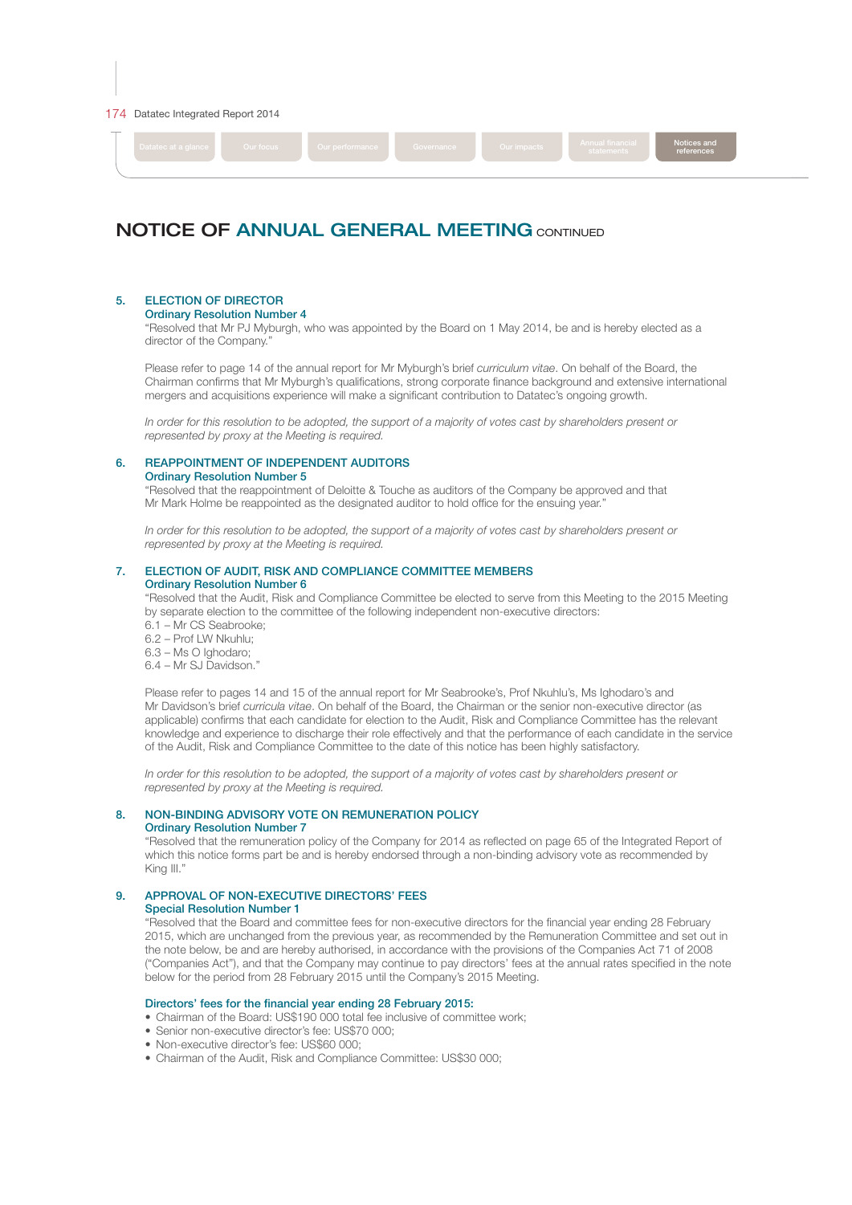#### 174 Datatec Integrated Report 2014



references

# NOTICE OF ANNUAL GENERAL MEETING CONTINUED

# 5. ELECTION OF DIRECTOR

## Ordinary Resolution Number 4

 "Resolved that Mr PJ Myburgh, who was appointed by the Board on 1 May 2014, be and is hereby elected as a director of the Company."

Please refer to page 14 of the annual report for Mr Myburgh's brief curriculum vitae. On behalf of the Board, the Chairman confrms that Mr Myburgh's qualifcations, strong corporate fnance background and extensive international mergers and acquisitions experience will make a signifcant contribution to Datatec's ongoing growth.

 In order for this resolution to be adopted, the support of a majority of votes cast by shareholders present or represented by proxy at the Meeting is required.

# 6. REAPPOINTMENT OF INDEPENDENT AUDITORS

# Ordinary Resolution Number 5

 "Resolved that the reappointment of Deloitte & Touche as auditors of the Company be approved and that Mr Mark Holme be reappointed as the designated auditor to hold office for the ensuing year."

 In order for this resolution to be adopted, the support of a majority of votes cast by shareholders present or represented by proxy at the Meeting is required.

#### 7. ELECTION OF AUDIT, RISK AND COMPLIANCE COMMITTEE MEMBERS Ordinary Resolution Number 6

 "Resolved that the Audit, Risk and Compliance Committee be elected to serve from this Meeting to the 2015 Meeting by separate election to the committee of the following independent non-executive directors:

6.1 – Mr CS Seabrooke;

6.2 – Prof LW Nkuhlu;

6.3 – Ms O Ighodaro;

6.4 – Mr SJ Davidson."

 Please refer to pages 14 and 15 of the annual report for Mr Seabrooke's, Prof Nkuhlu's, Ms Ighodaro's and Mr Davidson's brief curricula vitae. On behalf of the Board, the Chairman or the senior non-executive director (as applicable) confrms that each candidate for election to the Audit, Risk and Compliance Committee has the relevant knowledge and experience to discharge their role effectively and that the performance of each candidate in the service of the Audit, Risk and Compliance Committee to the date of this notice has been highly satisfactory.

 In order for this resolution to be adopted, the support of a majority of votes cast by shareholders present or represented by proxy at the Meeting is required.

# 8. NON-BINDING ADVISORY VOTE ON REMUNERATION POLICY

# Ordinary Resolution Number 7

 "Resolved that the remuneration policy of the Company for 2014 as refected on page 65 of the Integrated Report of which this notice forms part be and is hereby endorsed through a non-binding advisory vote as recommended by King III.'

# 9. APPROVAL OF NON-EXECUTIVE DIRECTORS' FEES

Special Resolution Number 1

 "Resolved that the Board and committee fees for non-executive directors for the fnancial year ending 28 February 2015, which are unchanged from the previous year, as recommended by the Remuneration Committee and set out in the note below, be and are hereby authorised, in accordance with the provisions of the Companies Act 71 of 2008 ("Companies Act"), and that the Company may continue to pay directors' fees at the annual rates specifed in the note below for the period from 28 February 2015 until the Company's 2015 Meeting.

### Directors' fees for the fnancial year ending 28 February 2015:

- Chairman of the Board: US\$190 000 total fee inclusive of committee work:
- Senior non-executive director's fee: US\$70,000;
- Non-executive director's fee: US\$60 000;
- Chairman of the Audit, Risk and Compliance Committee: US\$30 000;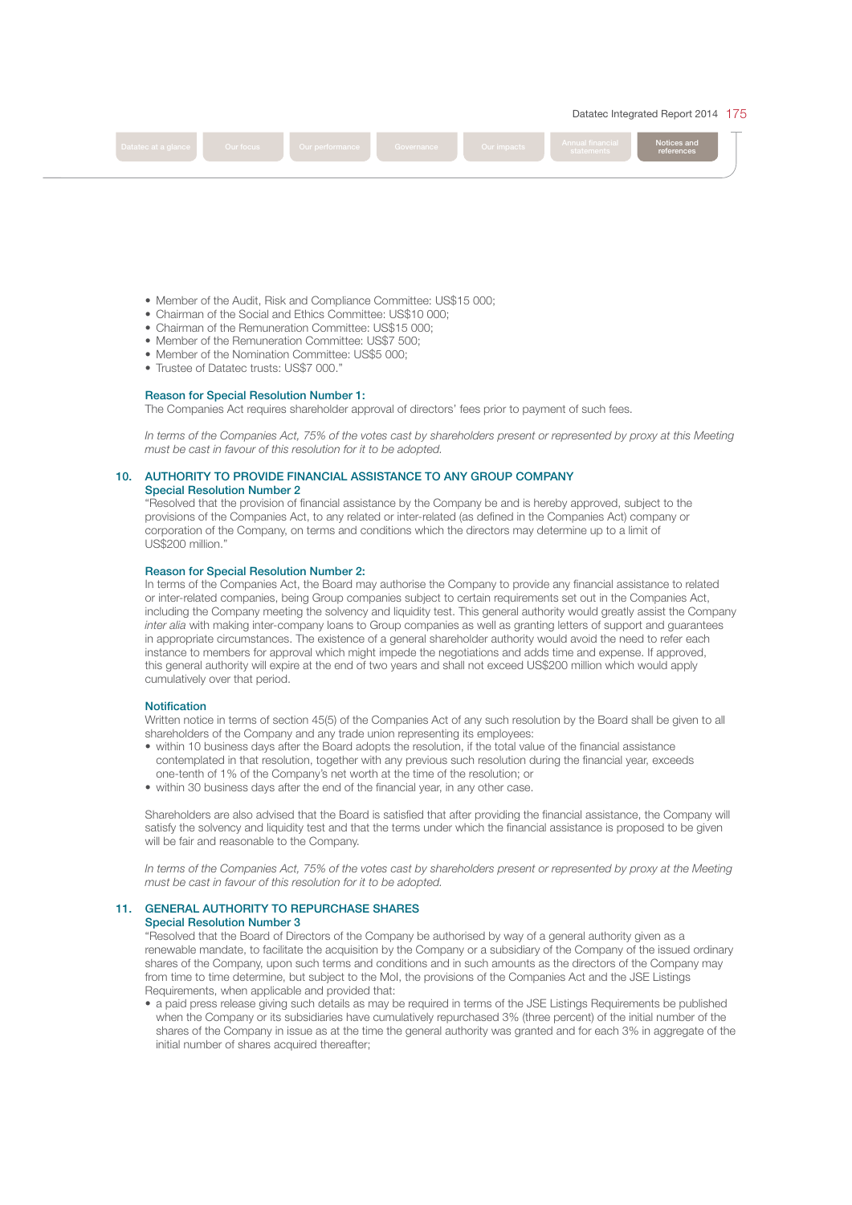

- Member of the Audit, Risk and Compliance Committee: US\$15 000;
- Chairman of the Social and Ethics Committee: US\$10 000;
- Chairman of the Remuneration Committee: US\$15 000;
- Member of the Remuneration Committee: US\$7 500;
- Member of the Nomination Committee: US\$5 000;
- Trustee of Datatec trusts: US\$7 000."

# Reason for Special Resolution Number 1:

The Companies Act requires shareholder approval of directors' fees prior to payment of such fees.

 In terms of the Companies Act, 75% of the votes cast by shareholders present or represented by proxy at this Meeting must be cast in favour of this resolution for it to be adopted.

# 10. AUTHORITY TO PROVIDE FINANCIAL ASSISTANCE TO ANY GROUP COMPANY

Special Resolution Number 2

 "Resolved that the provision of fnancial assistance by the Company be and is hereby approved, subject to the provisions of the Companies Act, to any related or inter-related (as defned in the Companies Act) company or corporation of the Company, on terms and conditions which the directors may determine up to a limit of US\$200 million."

#### Reason for Special Resolution Number 2:

 In terms of the Companies Act, the Board may authorise the Company to provide any fnancial assistance to related or inter-related companies, being Group companies subject to certain requirements set out in the Companies Act, including the Company meeting the solvency and liquidity test. This general authority would greatly assist the Company inter alia with making inter-company loans to Group companies as well as granting letters of support and guarantees in appropriate circumstances. The existence of a general shareholder authority would avoid the need to refer each instance to members for approval which might impede the negotiations and adds time and expense. If approved, this general authority will expire at the end of two years and shall not exceed US\$200 million which would apply cumulatively over that period.

#### **Notification**

 Written notice in terms of section 45(5) of the Companies Act of any such resolution by the Board shall be given to all shareholders of the Company and any trade union representing its employees:

- within 10 business days after the Board adopts the resolution, if the total value of the fnancial assistance contemplated in that resolution, together with any previous such resolution during the fnancial year, exceeds one-tenth of 1% of the Company's net worth at the time of the resolution; or
- within 30 business days after the end of the fnancial year, in any other case.

 Shareholders are also advised that the Board is satisfed that after providing the fnancial assistance, the Company will satisfy the solvency and liquidity test and that the terms under which the fnancial assistance is proposed to be given will be fair and reasonable to the Company.

 In terms of the Companies Act, 75% of the votes cast by shareholders present or represented by proxy at the Meeting must be cast in favour of this resolution for it to be adopted.

# 11. GENERAL AUTHORITY TO REPURCHASE SHARES

#### Special Resolution Number 3

 "Resolved that the Board of Directors of the Company be authorised by way of a general authority given as a renewable mandate, to facilitate the acquisition by the Company or a subsidiary of the Company of the issued ordinary shares of the Company, upon such terms and conditions and in such amounts as the directors of the Company may from time to time determine, but subject to the MoI, the provisions of the Companies Act and the JSE Listings Requirements, when applicable and provided that:

• a paid press release giving such details as may be required in terms of the JSE Listings Requirements be published when the Company or its subsidiaries have cumulatively repurchased 3% (three percent) of the initial number of the shares of the Company in issue as at the time the general authority was granted and for each 3% in aggregate of the initial number of shares acquired thereafter;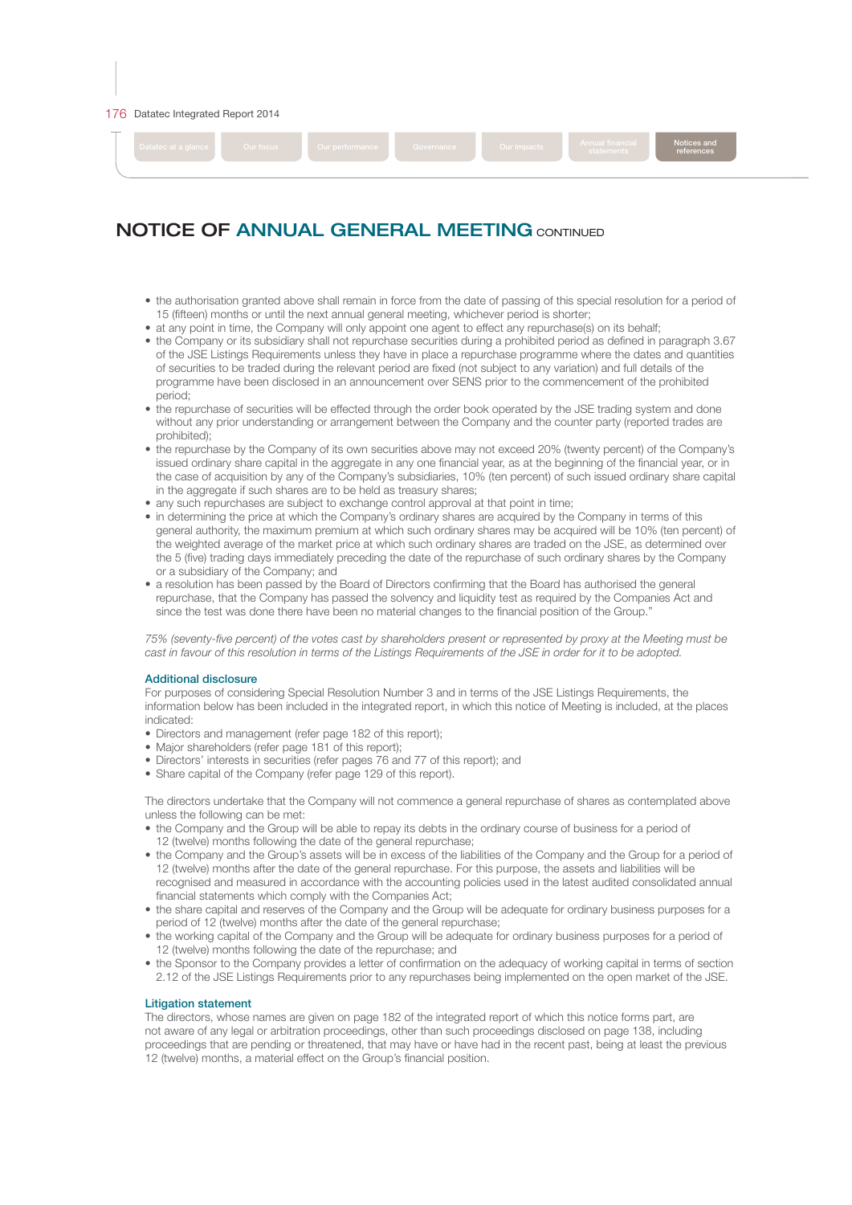#### 176 Datatec Integrated Report 2014



## references

# NOTICE OF ANNUAL GENERAL MEETING CONTINUED

- the authorisation granted above shall remain in force from the date of passing of this special resolution for a period of 15 (ffteen) months or until the next annual general meeting, whichever period is shorter;
- at any point in time, the Company will only appoint one agent to effect any repurchase(s) on its behalf;
- the Company or its subsidiary shall not repurchase securities during a prohibited period as defned in paragraph 3.67 of the JSE Listings Requirements unless they have in place a repurchase programme where the dates and quantities of securities to be traded during the relevant period are fxed (not subject to any variation) and full details of the programme have been disclosed in an announcement over SENS prior to the commencement of the prohibited period;
- the repurchase of securities will be effected through the order book operated by the JSE trading system and done without any prior understanding or arrangement between the Company and the counter party (reported trades are prohibited);
- the repurchase by the Company of its own securities above may not exceed 20% (twenty percent) of the Company's issued ordinary share capital in the aggregate in any one fnancial year, as at the beginning of the fnancial year, or in the case of acquisition by any of the Company's subsidiaries, 10% (ten percent) of such issued ordinary share capital in the aggregate if such shares are to be held as treasury shares;
- any such repurchases are subject to exchange control approval at that point in time;
- in determining the price at which the Company's ordinary shares are acquired by the Company in terms of this general authority, the maximum premium at which such ordinary shares may be acquired will be 10% (ten percent) of the weighted average of the market price at which such ordinary shares are traded on the JSE, as determined over the 5 (fve) trading days immediately preceding the date of the repurchase of such ordinary shares by the Company or a subsidiary of the Company; and
- a resolution has been passed by the Board of Directors confrming that the Board has authorised the general repurchase, that the Company has passed the solvency and liquidity test as required by the Companies Act and since the test was done there have been no material changes to the fnancial position of the Group."

 75% (seventy-fve percent) of the votes cast by shareholders present or represented by proxy at the Meeting must be cast in favour of this resolution in terms of the Listings Requirements of the JSE in order for it to be adopted.

#### Additional disclosure

 For purposes of considering Special Resolution Number 3 and in terms of the JSE Listings Requirements, the information below has been included in the integrated report, in which this notice of Meeting is included, at the places indicated:

- Directors and management (refer page 182 of this report);
- Major shareholders (refer page 181 of this report);
- Directors' interests in securities (refer pages 76 and 77 of this report); and
- Share capital of the Company (refer page 129 of this report).

 The directors undertake that the Company will not commence a general repurchase of shares as contemplated above unless the following can be met:

- the Company and the Group will be able to repay its debts in the ordinary course of business for a period of 12 (twelve) months following the date of the general repurchase;
- the Company and the Group's assets will be in excess of the liabilities of the Company and the Group for a period of 12 (twelve) months after the date of the general repurchase. For this purpose, the assets and liabilities will be recognised and measured in accordance with the accounting policies used in the latest audited consolidated annual fnancial statements which comply with the Companies Act;
- the share capital and reserves of the Company and the Group will be adequate for ordinary business purposes for a period of 12 (twelve) months after the date of the general repurchase;
- the working capital of the Company and the Group will be adequate for ordinary business purposes for a period of 12 (twelve) months following the date of the repurchase; and
- the Sponsor to the Company provides a letter of confrmation on the adequacy of working capital in terms of section 2.12 of the JSE Listings Requirements prior to any repurchases being implemented on the open market of the JSE.

#### Litigation statement

 The directors, whose names are given on page 182 of the integrated report of which this notice forms part, are not aware of any legal or arbitration proceedings, other than such proceedings disclosed on page 138, including proceedings that are pending or threatened, that may have or have had in the recent past, being at least the previous 12 (twelve) months, a material effect on the Group's fnancial position.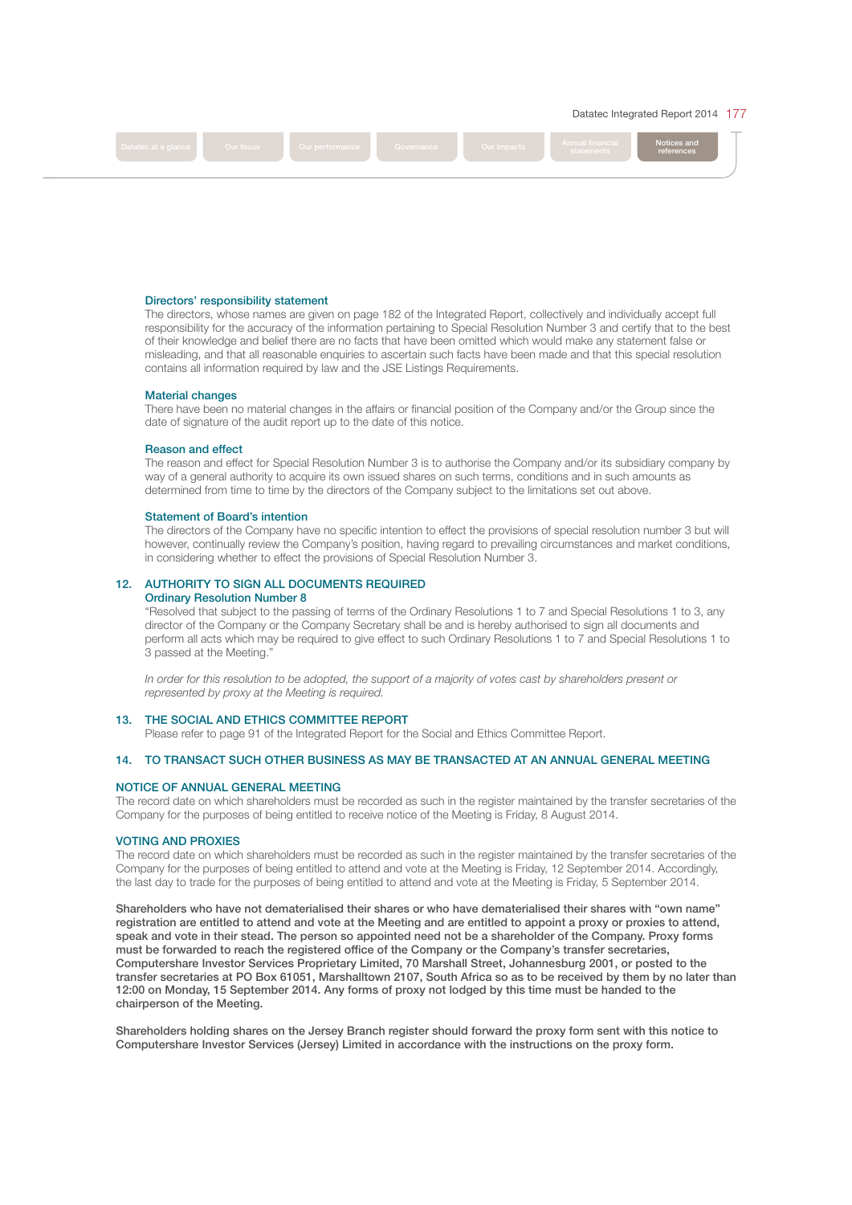



#### Directors' responsibility statement

 The directors, whose names are given on page 182 of the Integrated Report, collectively and individually accept full responsibility for the accuracy of the information pertaining to Special Resolution Number 3 and certify that to the best of their knowledge and belief there are no facts that have been omitted which would make any statement false or misleading, and that all reasonable enquiries to ascertain such facts have been made and that this special resolution contains all information required by law and the JSE Listings Requirements.

#### Material changes

 There have been no material changes in the affairs or fnancial position of the Company and/or the Group since the date of signature of the audit report up to the date of this notice.

#### Reason and effect

 The reason and effect for Special Resolution Number 3 is to authorise the Company and/or its subsidiary company by way of a general authority to acquire its own issued shares on such terms, conditions and in such amounts as determined from time to time by the directors of the Company subject to the limitations set out above.

#### Statement of Board's intention

The directors of the Company have no specific intention to effect the provisions of special resolution number 3 but will however, continually review the Company's position, having regard to prevailing circumstances and market conditions, in considering whether to effect the provisions of Special Resolution Number 3.

#### 12. AUTHORITY TO SIGN ALL DOCUMENTS REQUIRED Ordinary Resolution Number 8

 "Resolved that subject to the passing of terms of the Ordinary Resolutions 1 to 7 and Special Resolutions 1 to 3, any director of the Company or the Company Secretary shall be and is hereby authorised to sign all documents and perform all acts which may be required to give effect to such Ordinary Resolutions 1 to 7 and Special Resolutions 1 to 3 passed at the Meeting."

 In order for this resolution to be adopted, the support of a majority of votes cast by shareholders present or represented by proxy at the Meeting is required.

#### 13. THE SOCIAL AND ETHICS COMMITTEE REPORT

Please refer to page 91 of the Integrated Report for the Social and Ethics Committee Report.

# 14. TO TRANSACT SUCH OTHER BUSINESS AS MAY BE TRANSACTED AT AN ANNUAL GENERAL MEETING

#### NOTICE OF ANNUAL GENERAL MEETING

The record date on which shareholders must be recorded as such in the register maintained by the transfer secretaries of the Company for the purposes of being entitled to receive notice of the Meeting is Friday, 8 August 2014.

# VOTING AND PROXIES

The record date on which shareholders must be recorded as such in the register maintained by the transfer secretaries of the Company for the purposes of being entitled to attend and vote at the Meeting is Friday, 12 September 2014. Accordingly, the last day to trade for the purposes of being entitled to attend and vote at the Meeting is Friday, 5 September 2014.

Shareholders who have not dematerialised their shares or who have dematerialised their shares with "own name" registration are entitled to attend and vote at the Meeting and are entitled to appoint a proxy or proxies to attend, speak and vote in their stead. The person so appointed need not be a shareholder of the Company. Proxy forms must be forwarded to reach the registered office of the Company or the Company's transfer secretaries, Computershare Investor Services Proprietary Limited, 70 Marshall Street, Johannesburg 2001, or posted to the transfer secretaries at PO Box 61051, Marshalltown 2107, South Africa so as to be received by them by no later than 12:00 on Monday, 15 September 2014. Any forms of proxy not lodged by this time must be handed to the chairperson of the Meeting.

Shareholders holding shares on the Jersey Branch register should forward the proxy form sent with this notice to Computershare Investor Services (Jersey) Limited in accordance with the instructions on the proxy form.